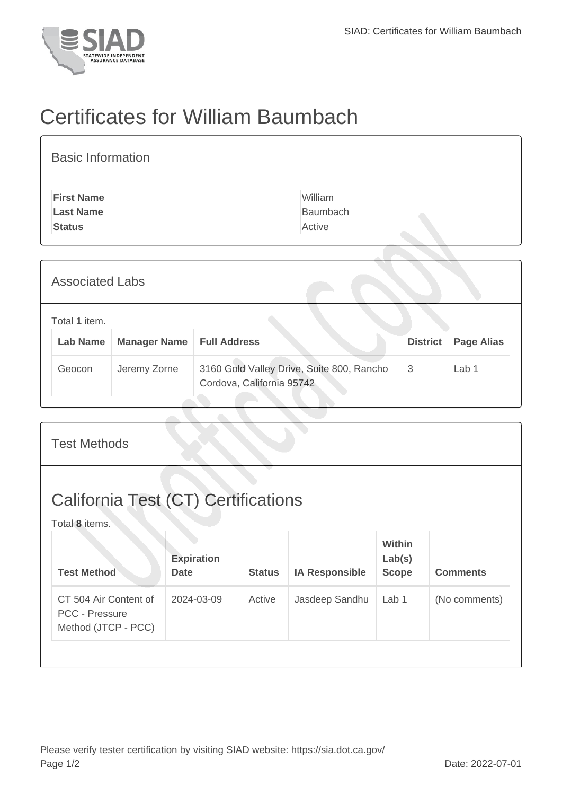

## Certificates for William Baumbach

| <b>Basic Information</b> |          |  |  |  |  |  |
|--------------------------|----------|--|--|--|--|--|
| <b>First Name</b>        | William  |  |  |  |  |  |
| <b>Last Name</b>         | Baumbach |  |  |  |  |  |
| <b>Status</b>            | Active   |  |  |  |  |  |

| <b>Associated Labs</b>                                                         |              |                                                                        |                 |                   |
|--------------------------------------------------------------------------------|--------------|------------------------------------------------------------------------|-----------------|-------------------|
| Total 1 item.<br><b>Manager Name</b><br><b>Full Address</b><br><b>Lab Name</b> |              |                                                                        | <b>District</b> | <b>Page Alias</b> |
| Geocon                                                                         | Jeremy Zorne | 3160 Gold Valley Drive, Suite 800, Rancho<br>Cordova, California 95742 | 3               | Lab 1             |

| <b>Test Methods</b>                                                   |                                  |               |                       |                                  |                 |  |  |
|-----------------------------------------------------------------------|----------------------------------|---------------|-----------------------|----------------------------------|-----------------|--|--|
| <b>California Test (CT) Certifications</b><br>Total 8 items.          |                                  |               |                       |                                  |                 |  |  |
| <b>Test Method</b>                                                    | <b>Expiration</b><br><b>Date</b> | <b>Status</b> | <b>IA Responsible</b> | Within<br>Lab(s)<br><b>Scope</b> | <b>Comments</b> |  |  |
| CT 504 Air Content of<br><b>PCC - Pressure</b><br>Method (JTCP - PCC) | 2024-03-09                       | Active        | Jasdeep Sandhu        | Lab <sub>1</sub>                 | (No comments)   |  |  |
|                                                                       |                                  |               |                       |                                  |                 |  |  |